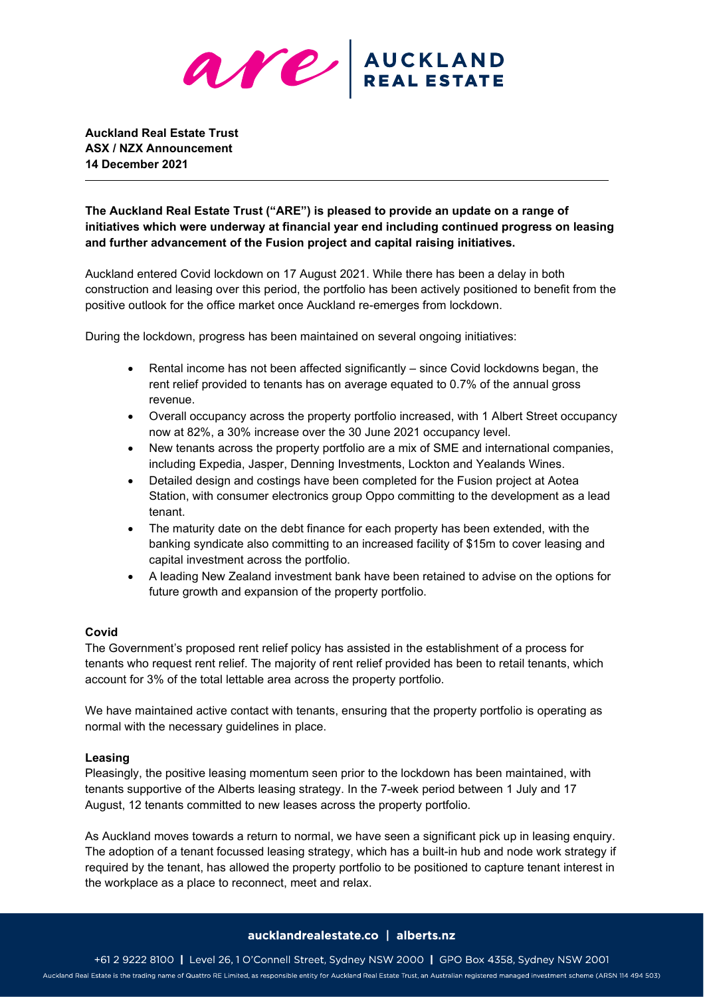

**Auckland Real Estate Trust ASX / NZX Announcement 14 December 2021**

**The Auckland Real Estate Trust ("ARE") is pleased to provide an update on a range of initiatives which were underway at financial year end including continued progress on leasing and further advancement of the Fusion project and capital raising initiatives.** 

Auckland entered Covid lockdown on 17 August 2021. While there has been a delay in both construction and leasing over this period, the portfolio has been actively positioned to benefit from the positive outlook for the office market once Auckland re-emerges from lockdown.

During the lockdown, progress has been maintained on several ongoing initiatives:

- Rental income has not been affected significantly since Covid lockdowns began, the rent relief provided to tenants has on average equated to 0.7% of the annual gross revenue.
- Overall occupancy across the property portfolio increased, with 1 Albert Street occupancy now at 82%, a 30% increase over the 30 June 2021 occupancy level.
- New tenants across the property portfolio are a mix of SME and international companies, including Expedia, Jasper, Denning Investments, Lockton and Yealands Wines.
- Detailed design and costings have been completed for the Fusion project at Aotea Station, with consumer electronics group Oppo committing to the development as a lead tenant.
- The maturity date on the debt finance for each property has been extended, with the banking syndicate also committing to an increased facility of \$15m to cover leasing and capital investment across the portfolio.
- A leading New Zealand investment bank have been retained to advise on the options for future growth and expansion of the property portfolio.

### **Covid**

The Government's proposed rent relief policy has assisted in the establishment of a process for tenants who request rent relief. The majority of rent relief provided has been to retail tenants, which account for 3% of the total lettable area across the property portfolio.

We have maintained active contact with tenants, ensuring that the property portfolio is operating as normal with the necessary guidelines in place.

### **Leasing**

Pleasingly, the positive leasing momentum seen prior to the lockdown has been maintained, with tenants supportive of the Alberts leasing strategy. In the 7-week period between 1 July and 17 August, 12 tenants committed to new leases across the property portfolio.

As Auckland moves towards a return to normal, we have seen a significant pick up in leasing enquiry. The adoption of a tenant focussed leasing strategy, which has a built-in hub and node work strategy if required by the tenant, has allowed the property portfolio to be positioned to capture tenant interest in the workplace as a place to reconnect, meet and relax.

#### aucklandrealestate.co | alberts.nz

+61 2 9222 8100 | Level 26, 1 O'Connell Street, Sydney NSW 2000 | GPO Box 4358, Sydney NSW 2001 Auckland Real Estate is the trading name of Quattro RE Limited, as responsible entity for Auckland Real Estate Trust, an Australian registered managed investment scheme (ARSN 114 494 503)